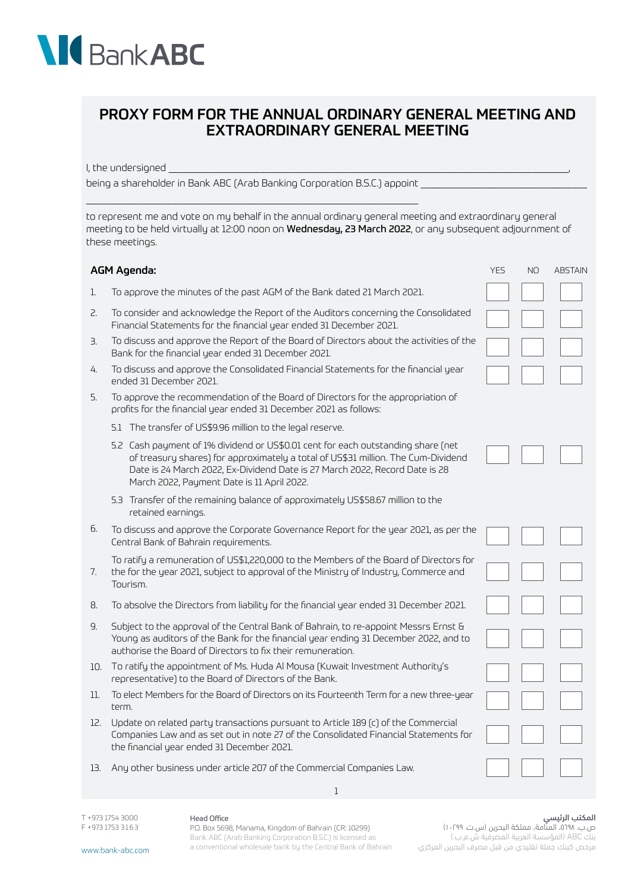## Rank ABC

## PROXY FORM FOR THE ANNUAL ORDINARY GENERAL MEETING AND EXTRAORDINARY GENERAL MEETING

I, the undersigned

being a shareholder in Bank ABC (Arab Banking Corporation B.S.C.) appoint \_\_\_\_\_\_\_\_\_\_\_\_\_\_\_\_\_\_\_\_\_\_\_\_\_\_\_\_\_\_\_\_\_\_\_\_\_\_\_\_\_\_\_\_\_\_\_\_\_\_\_\_\_\_\_\_\_\_\_\_\_\_\_\_\_\_

to represent me and vote on my behalf in the annual ordinary general meeting and extraordinary general meeting to be held virtually at 12:00 noon on Wednesday, 23 March 2022, or any subsequent adjournment of these meetings.

## AGM Agenda: YES NO ABSTAIN

| To approve the minutes of the past AGM of the Bank dated 21 March 2021.            |  |
|------------------------------------------------------------------------------------|--|
| To consider and acknowledge the Report of the Auditors concerning the Consolidated |  |
| Financial Statements for the financial year ended 31 December 2021.                |  |

- 3. To discuss and approve the Report of the Board of Directors about the activities of the Bank for the financial year ended 31 December 2021.
- 4. To discuss and approve the Consolidated Financial Statements for the financial year ended 31 December 2021.
- 5. To approve the recommendation of the Board of Directors for the appropriation of profits for the financial year ended 31 December 2021 as follows:
	- 5.1 The transfer of US\$9.96 million to the legal reserve.
	- 5.2 Cash payment of 1% dividend or US\$0.01 cent for each outstanding share (net of treasury shares) for approximately a total of US\$31 million. The Cum-Dividend Date is 24 March 2022, Ex-Dividend Date is 27 March 2022, Record Date is 28 March 2022, Payment Date is 11 April 2022.
	- 5.3 Transfer of the remaining balance of approximately US\$58.67 million to the retained earnings.
- 6. To discuss and approve the Corporate Governance Report for the year 2021, as per the Central Bank of Bahrain requirements.

To ratify a remuneration of US\$1,220,000 to the Members of the Board of Directors for the for the year 2021, subject to approval of the Ministry of Industry, Commerce and Tourism.

- 8. To absolve the Directors from liability for the financial year ended 31 December 2021.
- 9. Subject to the approval of the Central Bank of Bahrain, to re-appoint Messrs Ernst & Young as auditors of the Bank for the financial year ending 31 December 2022, and to authorise the Board of Directors to fix their remuneration.
- 10. To ratify the appointment of Ms. Huda Al Mousa (Kuwait Investment Authority's representative) to the Board of Directors of the Bank.
- 11. To elect Members for the Board of Directors on its Fourteenth Term for a new three-year term.
- 12. Update on related party transactions pursuant to Article 189 (c) of the Commercial Companies Law and as set out in note 27 of the Consolidated Financial Statements for the financial year ended 31 December 2021.
- 13. Any other business under article 207 of the Commercial Companies Law.

1

T +973 1754 3000 F +973 1753 3 1 6 3

7.

Head Office P.O. Box 5698, Manama, Kingdom of Bahrain (CR: 10299) Bank ABC (Arab Banking Corporation B.S.C.) is licensed as a conventional wholesale bank by the Central Bank of Bahrain

## المكتب الرئيسي

ص.ب. ،٥٦٩٨، المنّامة، مملكة البحرين (س.ت. ١٠٢٩٩) بنك ABC( المؤسسة العربية المصرفية ش.م.ب.( مرخص كبنك جملة تقليدي من قبل مصرف البحرين المركزي

www.bank-abc.com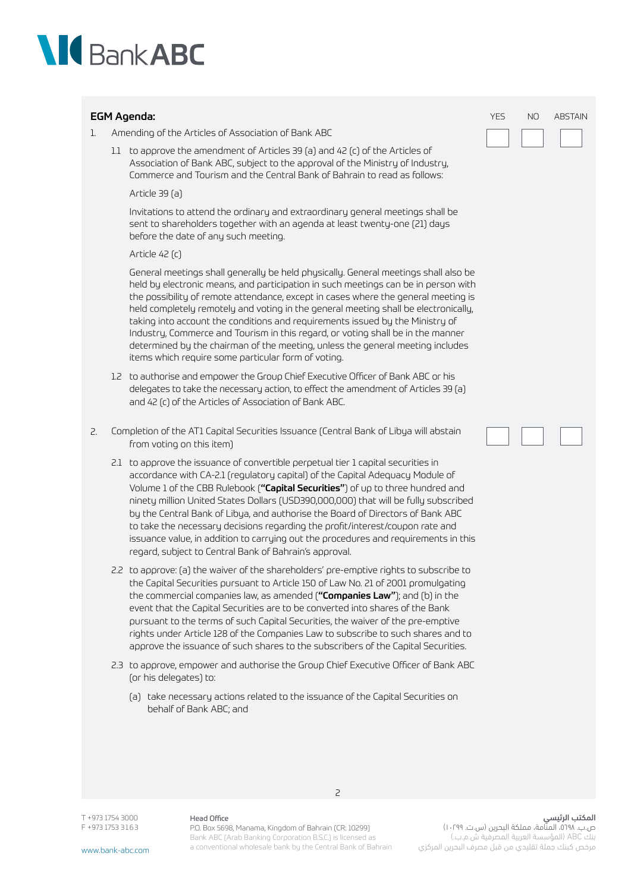

- 1. Amending of the Articles of Association of Bank ABC
	- 1.1 to approve the amendment of Articles 39 (a) and 42 (c) of the Articles of Association of Bank ABC, subject to the approval of the Ministry of Industry, Commerce and Tourism and the Central Bank of Bahrain to read as follows:

Article 39 (a)

Invitations to attend the ordinary and extraordinary general meetings shall be sent to shareholders together with an agenda at least twenty-one (21) days before the date of any such meeting.

Article 42 (c)

General meetings shall generally be held physically. General meetings shall also be held by electronic means, and participation in such meetings can be in person with the possibility of remote attendance, except in cases where the general meeting is held completely remotely and voting in the general meeting shall be electronically, taking into account the conditions and requirements issued by the Ministry of Industry, Commerce and Tourism in this regard, or voting shall be in the manner determined by the chairman of the meeting, unless the general meeting includes items which require some particular form of voting.

- 1.2 to authorise and empower the Group Chief Executive Officer of Bank ABC or his delegates to take the necessary action, to effect the amendment of Articles 39 (a) and 42 (c) of the Articles of Association of Bank ABC.
- 2. Completion of the AT1 Capital Securities Issuance (Central Bank of Libya will abstain from voting on this item)
	- 2.1 to approve the issuance of convertible perpetual tier 1 capital securities in accordance with CA-2.1 (regulatory capital) of the Capital Adequacy Module of Volume 1 of the CBB Rulebook ("Capital Securities") of up to three hundred and ninety million United States Dollars (USD390,000,000) that will be fully subscribed by the Central Bank of Libya, and authorise the Board of Directors of Bank ABC to take the necessary decisions regarding the profit/interest/coupon rate and issuance value, in addition to carrying out the procedures and requirements in this regard, subject to Central Bank of Bahrain's approval.
	- 2.2 to approve: (a) the waiver of the shareholders' pre-emptive rights to subscribe to the Capital Securities pursuant to Article 150 of Law No. 21 of 2001 promulgating the commercial companies law, as amended ("Companies Law"); and (b) in the event that the Capital Securities are to be converted into shares of the Bank pursuant to the terms of such Capital Securities, the waiver of the pre-emptive rights under Article 128 of the Companies Law to subscribe to such shares and to approve the issuance of such shares to the subscribers of the Capital Securities.
	- 2.3 to approve, empower and authorise the Group Chief Executive Officer of Bank ABC (or his delegates) to:
		- (a) take necessary actions related to the issuance of the Capital Securities on behalf of Bank ABC; and





T +973 1754 3000 F +973 1753 3 1 6 3 2

### المكتب الرئيسي ص.ب. ،٥٦٩٨، المنّامة، مملكة البحرين (س.ت. ١٠٢٩٩) بنك ABC( المؤسسة العربية المصرفية ش.م.ب.( مرخص كبنك جملة تقليدي من قبل مصرف البحرين المركزي

www.bank-abc.com